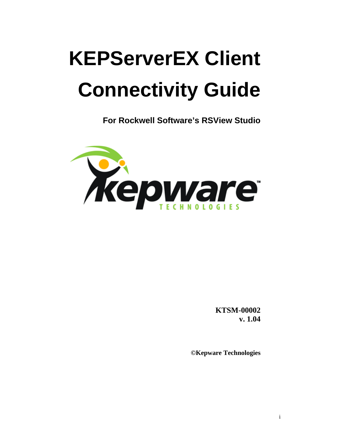# **KEPServerEX Client Connectivity Guide**

**For Rockwell Software's RSView Studio** 



**KTSM-00002 v. 1.04**

**©Kepware Technologies**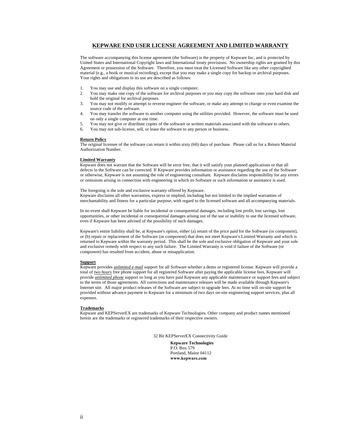#### **KEPWARE END USER LICENSE AGREEMENT AND LIMITED WARRANTY**

The software accompanying this license agreement (the Software) is the property of Kepware Inc, and is protected by United States and International Copyright laws and International treaty provisions. No ownership rights are granted by this Agreement or possession of the Software. Therefore, you must treat the Licensed Software like any other copyrighted material (e.g., a book or musical recording), except that you may make a single copy for backup or archival purposes. Your rights and obligations in its use are described as follows:

- 1. You may use and display this software on a single computer.
- 2. You may make one copy of the software for archival purposes or you may copy the software onto your hard disk and hold the original for archival purposes.
- 3. You may not modify or attempt to reverse engineer the software, or make any attempt to change or even examine the source code of the software.
- 4. You may transfer the software to another computer using the utilities provided. However, the software must be used on only a single computer at one time.
- 5. You may not give or distribute copies of the software or written materials associated with the software to others.
- 6. You may not sub-license, sell, or lease the software to any person or business.

#### **Return Policy**

The original licensee of the software can return it within sixty (60) days of purchase. Please call us for a Return Material Authorization Number.

#### **Limited Warranty**

Kepware does not warrant that the Software will be error free, that it will satisfy your planned applications or that all defects in the Software can be corrected. If Kepware provides information or assistance regarding the use of the Software or otherwise, Kepware is not assuming the role of engineering consultant. Kepware disclaims responsibility for any errors or omissions arising in connection with engineering in which its Software or such information or assistance is used.

The foregoing is the sole and exclusive warranty offered by Kepware. Kepware disclaims all other warranties, express or implied, including but not limited to the implied warranties of merchantability and fitness for a particular purpose, with regard to the licensed software and all accompanying materials.

In no event shall Kepware be liable for incidental or consequential damages, including lost profit, lost savings, lost opportunities, or other incidental or consequential damages arising out of the use or inability to use the licensed software, even if Kepware has been advised of the possibility of such damages.

Kepware's entire liability shall be, at Kepware's option, either (a) return of the price paid for the Software (or component), or (b) repair or replacement of the Software (or component) that does not meet Kepware's Limited Warranty and which is returned to Kepware within the warranty period. This shall be the sole and exclusive obligation of Kepware and your sole and exclusive remedy with respect to any such failure. The Limited Warranty is void if failure of the Software (or component) has resulted from accident, abuse or misapplication.

#### **Support**

Kepware provides *unlimited e-mail* support for all Software whether a demo or registered license. Kepware will provide a total of *two hours* free phone support for all registered Software after paying the applicable license fees. Kepware will provide *unlimited phone* support so long as you have paid Kepware any applicable maintenance or support fees and subject to the terms of those agreements. All corrections and maintenance releases will be made available through Kepware's Internet site. All major product releases of the Software are subject to upgrade fees. At no time will on-site support be provided without advance payment to Kepware for a minimum of two days on-site engineering support services, plus all expenses.

#### **Trademarks**

Kepware and KEPServerEX are trademarks of Kepware Technologies. Other company and product names mentioned herein are the trademarks or registered trademarks of their respective owners.

32 Bit KEPServerEX Connectivity Guide

**Kepware Technologies**  P.O. Box 579 Portland, Maine 04112 **www.kepware.com**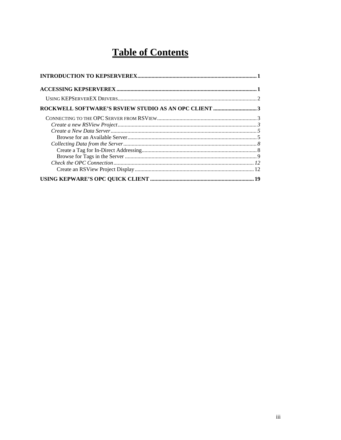## **Table of Contents**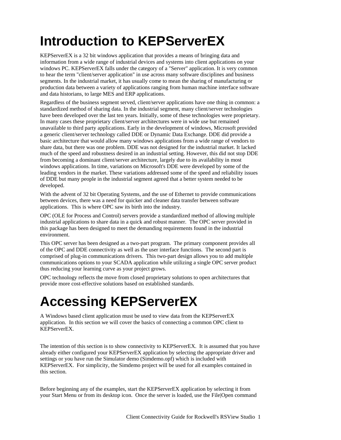## <span id="page-4-0"></span>**Introduction to KEPServerEX**

KEPServerEX is a 32 bit windows application that provides a means of bringing data and information from a wide range of industrial devices and systems into client applications on your windows PC. KEPServerEX falls under the category of a "Server" application. It is very common to hear the term "client/server application" in use across many software disciplines and business segments. In the industrial market, it has usually come to mean the sharing of manufacturing or production data between a variety of applications ranging from human machine interface software and data historians, to large MES and ERP applications.

Regardless of the business segment served, client/server applications have one thing in common: a standardized method of sharing data. In the industrial segment, many client/server technologies have been developed over the last ten years. Initially, some of these technologies were proprietary. In many cases these proprietary client/server architectures were in wide use but remained unavailable to third party applications. Early in the development of windows, Microsoft provided a generic client/server technology called DDE or Dynamic Data Exchange. DDE did provide a basic architecture that would allow many windows applications from a wide range of vendors to share data, but there was one problem. DDE was not designed for the industrial market. It lacked much of the speed and robustness desired in an industrial setting. However, this did not stop DDE from becoming a dominant client/server architecture, largely due to its availability in most windows applications. In time, variations on Microsoft's DDE were developed by some of the leading vendors in the market. These variations addressed some of the speed and reliability issues of DDE but many people in the industrial segment agreed that a better system needed to be developed.

With the advent of 32 bit Operating Systems, and the use of Ethernet to provide communications between devices, there was a need for quicker and cleaner data transfer between software applications. This is where OPC saw its birth into the industry.

OPC (OLE for Process and Control) servers provide a standardized method of allowing multiple industrial applications to share data in a quick and robust manner. The OPC server provided in this package has been designed to meet the demanding requirements found in the industrial environment.

This OPC server has been designed as a two-part program. The primary component provides all of the OPC and DDE connectivity as well as the user interface functions. The second part is comprised of plug-in communications drivers. This two-part design allows you to add multiple communications options to your SCADA application while utilizing a single OPC server product thus reducing your learning curve as your project grows.

OPC technology reflects the move from closed proprietary solutions to open architectures that provide more cost-effective solutions based on established standards.

## **Accessing KEPServerEX**

A Windows based client application must be used to view data from the KEPServerEX application. In this section we will cover the basics of connecting a common OPC client to KEPServerEX.

The intention of this section is to show connectivity to KEPServerEX. It is assumed that you have already either configured your KEPServerEX application by selecting the appropriate driver and settings or you have run the Simulator demo (Simdemo.opf) which is included with KEPServerEX. For simplicity, the Simdemo project will be used for all examples contained in this section.

Before beginning any of the examples, start the KEPServerEX application by selecting it from your Start Menu or from its desktop icon. Once the server is loaded, use the File|Open command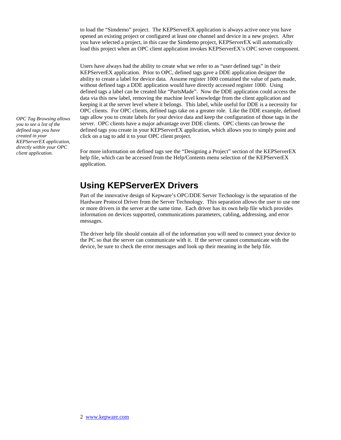<span id="page-5-0"></span>to load the "Simdemo" project. The KEPServerEX application is always active once you have opened an existing project or configured at least one channel and device in a new project. After you have selected a project, in this case the Simdemo project, KEPServerEX will automatically load this project when an OPC client application invokes KEPServerEX's OPC server component.

Users have always had the ability to create what we refer to as "user defined tags" in their KEPServerEX application. Prior to OPC, defined tags gave a DDE application designer the ability to create a label for device data. Assume register 1000 contained the value of parts made, without defined tags a DDE application would have directly accessed register 1000. Using defined tags a label can be created like "PartsMade". Now the DDE application could access the data via this new label, removing the machine level knowledge from the client application and keeping it at the server level where it belongs. This label, while useful for DDE is a necessity for OPC clients. For OPC clients, defined tags take on a greater role. Like the DDE example, defined tags allow you to create labels for your device data and keep the configuration of those tags in the server. OPC clients have a major advantage over DDE clients. OPC clients can browse the defined tags you create in your KEPServerEX application, which allows you to simply point and click on a tag to add it to your OPC client project.

*client application.* For more information on defined tags see the "Designing a Project" section of the KEPServerEX help file, which can be accessed from the Help/Contents menu selection of the KEPServerEX application.

## **Using KEPServerEX Drivers**

Part of the innovative design of Kepware's OPC/DDE Server Technology is the separation of the Hardware Protocol Driver from the Server Technology. This separation allows the user to use one or more drivers in the server at the same time. Each driver has its own help file which provides information on devices supported, communications parameters, cabling, addressing, and error messages.

The driver help file should contain all of the information you will need to connect your device to the PC so that the server can communicate with it. If the server cannot communicate with the device, be sure to check the error messages and look up their meaning in the help file.

*OPC Tag Browsing allows you to see a list of the defined tags you have created in your KEPServerEX application, directly within your OPC*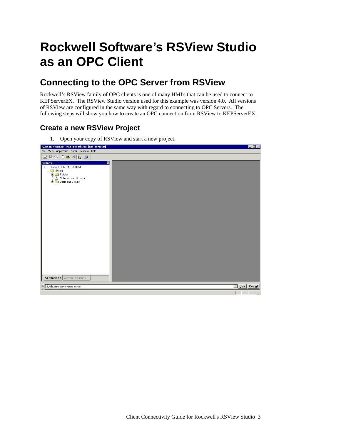## <span id="page-6-0"></span>**Rockwell Software's RSView Studio as an OPC Client**

## **Connecting to the OPC Server from RSView**

Rockwell's RSView family of OPC clients is one of many HMI's that can be used to connect to KEPServerEX. The RSView Studio version used for this example was version 4.0. All versions of RSView are configured in the same way with regard to connecting to OPC Servers. The following steps will show you how to create an OPC connection from RSView to KEPServerEX.

## **Create a new RSView Project**

1. Open your copy of RSView and start a new project.

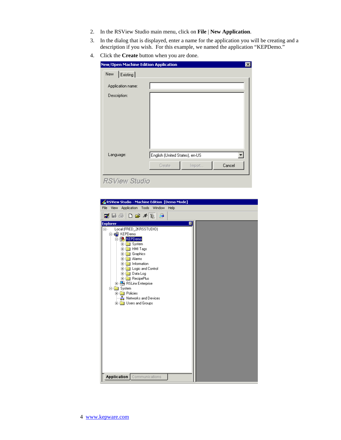- 2. In the RSView Studio main menu, click on **File** | **New Application**.
- 3. In the dialog that is displayed, enter a name for the application you will be creating and a description if you wish. For this example, we named the application "KEPDemo."
- 4. Click the **Create** button when you are done.

| <b>New/Open Machine Edition Application</b> |                                                              | $\mathsf{x}$ |
|---------------------------------------------|--------------------------------------------------------------|--------------|
| Existing<br>New                             |                                                              |              |
| Application name:                           |                                                              |              |
| Description:                                |                                                              |              |
| Language:                                   | English (United States), en-US<br>Cancel<br>Import<br>Create |              |
| <b>RSView Studio</b>                        |                                                              |              |

| RSView Studio - Machine Edition [Demo Mode]      |  |
|--------------------------------------------------|--|
| Application Tools Window<br>File<br>View<br>Help |  |
| Z B @ D & X E &                                  |  |
| <b>Explorer</b><br>$\mathbb{X}$                  |  |
| Local (FRED_2KRSSTUDIO)<br>$\Box$                |  |
| 白膚 KEPDemo                                       |  |
| <b>KEPDemo</b>                                   |  |
| 由 System                                         |  |
| <b>El-Real</b> HMI Tags<br>由 Graphics            |  |
| F-Red Alarms                                     |  |
| Fi-Rid Information                               |  |
| E-Cogic and Control                              |  |
| 由 <b>Data Log</b>                                |  |
| <b>E</b> RecipePlus                              |  |
| <b>E</b> RSLinx Enterprise<br><b>⊟</b> System    |  |
| <b>E</b> - <b>B</b> Policies                     |  |
| <del>. 공</del> Networks and Devices              |  |
| 由 Users and Groups                               |  |
|                                                  |  |
|                                                  |  |
|                                                  |  |
|                                                  |  |
|                                                  |  |
|                                                  |  |
|                                                  |  |
|                                                  |  |
|                                                  |  |
|                                                  |  |
|                                                  |  |
|                                                  |  |
| Application   Communications                     |  |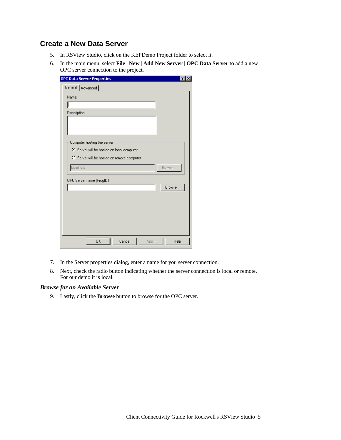### <span id="page-8-0"></span>**Create a New Data Server**

- 5. In RSView Studio, click on the KEPDemo Project folder to select it.
- 6. In the main menu, select **File** | **New** | **Add New Server** | **OPC Data Server** to add a new OPC server connection to the project.

| <b>OPC Data Server Properties</b><br>General   Advanced |        |
|---------------------------------------------------------|--------|
| Name:                                                   |        |
|                                                         |        |
| Description:                                            |        |
|                                                         |        |
|                                                         |        |
| Computer hosting the server                             |        |
| Server will be hosted on local computer                 |        |
| C Server will be hosted on remote computer              |        |
| localhost                                               | Browse |
|                                                         |        |
| OPC Server name (ProgID):                               | Browse |
|                                                         |        |
|                                                         |        |
|                                                         |        |
|                                                         |        |
|                                                         |        |
|                                                         |        |
| <b>OK</b><br>Cancel<br>Apply                            | Help   |

- 7. In the Server properties dialog, enter a name for you server connection.
- 8. Next, check the radio button indicating whether the server connection is local or remote. For our demo it is local.

#### *Browse for an Available Server*

9. Lastly, click the **Browse** button to browse for the OPC server.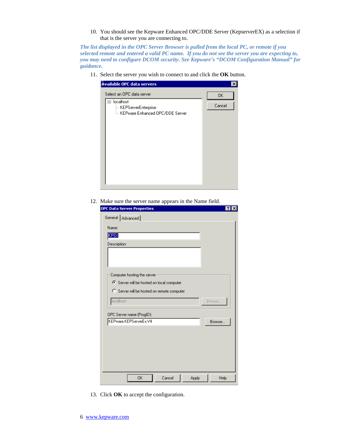10. You should see the Kepware Enhanced OPC/DDE Server (KepserverEX) as a selection if that is the server you are connecting to.

*The list displayed in the OPC Server Browser is pulled from the local PC, or remote if you selected remote and entered a valid PC name. If you do not see the server you are expecting to, you may need to configure DCOM security. See Kepware's "DCOM Configuration Manual" for guidance.* 

11. Select the server you wish to connect to and click the **OK** button.



12. Make sure the server name appears in the Name field.

| General   Advanced                         |        |
|--------------------------------------------|--------|
| Name:                                      |        |
| KPSX                                       |        |
| Description:                               |        |
|                                            |        |
|                                            |        |
|                                            |        |
| Computer hosting the server                |        |
| ○ Server will be hosted on local computer  |        |
| C Server will be hosted on remote computer |        |
| localhost                                  | Browse |
|                                            |        |
| OPC Server name (ProgID):                  |        |
| KEPware.KEPServerEx.V4                     | Browse |
|                                            |        |
|                                            |        |
|                                            |        |
|                                            |        |
|                                            |        |
|                                            |        |
| <b>OK</b><br>Cancel<br>Apply               | Help   |

13. Click **OK** to accept the configuration.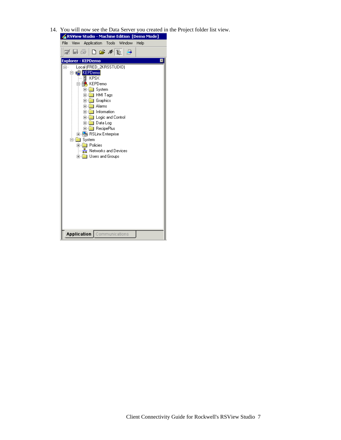14. You will now see the Data Server you created in the Project folder list view.

| File<br>Application Tools Window<br>Help<br>View :<br>◪◨◶▯◘☞ਆਃ▮ <del>◶</del><br><b>Explorer - KEPDemo</b><br>$\mathbb{Z}$<br>Local (FRED_2KRSSTUDIO)<br><b>D</b> C KEPDemo<br>KPSX<br>KEPDemo<br>⊞ System<br>HMI Tags<br>$\blacksquare$<br>田 Graphics<br>由 <b>Alarms</b><br><b>Figure 1</b> Information<br><b>E</b> Logic and Control<br><b>E</b> Data Log<br><b>E</b> RecipePlus<br>由 <mark>科</mark> RSLinx Enterprise<br>白露<br>System<br>中 <b>图 Policies</b><br>몷 Networks and Devices<br>由 Users and Groups<br>Application  <br>Communications | & RSView Studio - Machine Edition  [Demo Mode] |
|---------------------------------------------------------------------------------------------------------------------------------------------------------------------------------------------------------------------------------------------------------------------------------------------------------------------------------------------------------------------------------------------------------------------------------------------------------------------------------------------------------------------------------------------------|------------------------------------------------|
|                                                                                                                                                                                                                                                                                                                                                                                                                                                                                                                                                   |                                                |
|                                                                                                                                                                                                                                                                                                                                                                                                                                                                                                                                                   |                                                |
|                                                                                                                                                                                                                                                                                                                                                                                                                                                                                                                                                   |                                                |
|                                                                                                                                                                                                                                                                                                                                                                                                                                                                                                                                                   |                                                |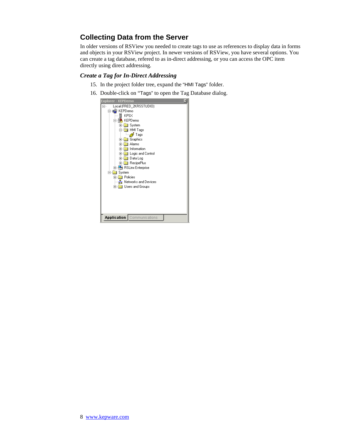## <span id="page-11-0"></span>**Collecting Data from the Server**

In older versions of RSView you needed to create tags to use as references to display data in forms and objects in your RSView project. In newer versions of RSView, you have several options. You can create a tag database, refered to as in-direct addressing, or you can access the OPC item directly using direct addressing.

### *Create a Tag for In-Direct Addressing*

- 15. In the project folder tree, expand the "HMI Tags" folder.
- 16. Double-click on "Tags" to open the Tag Database dialog.

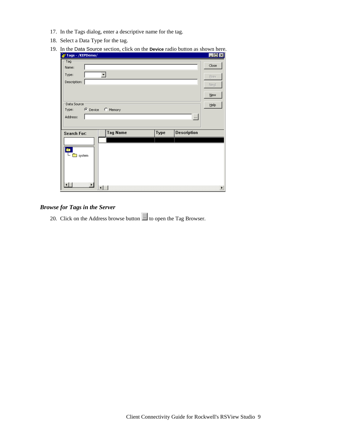- <span id="page-12-0"></span>17. In the Tags dialog, enter a descriptive name for the tag.
- 18. Select a Data Type for the tag.
- 19. In the Data Source section, click on the **Device** radio button as shown here.

| Tags - /KEPDemo/      |                   |      |             | $\Box$                |
|-----------------------|-------------------|------|-------------|-----------------------|
| ·Tag                  |                   |      |             |                       |
| Name:                 |                   |      |             | Close                 |
| Type:                 |                   |      |             | Prev                  |
| Description:          |                   |      |             | Next                  |
|                       |                   |      |             |                       |
|                       |                   |      |             | New                   |
| Data Source           |                   |      |             | Help                  |
| Type:                 | C Device C Memory |      |             |                       |
| Address:              |                   |      | $\ldots$    |                       |
|                       |                   |      |             |                       |
| <b>Search For:</b>    | <b>Tag Name</b>   | Type | Description |                       |
|                       |                   |      |             |                       |
| è<br><b>system</b>    |                   |      |             |                       |
| $\blacktriangleright$ | ∢                 |      |             | $\blacktriangleright$ |
|                       |                   |      |             |                       |

### *Browse for Tags in the Server*

20. Click on the Address browse button  $\Box$  to open the Tag Browser.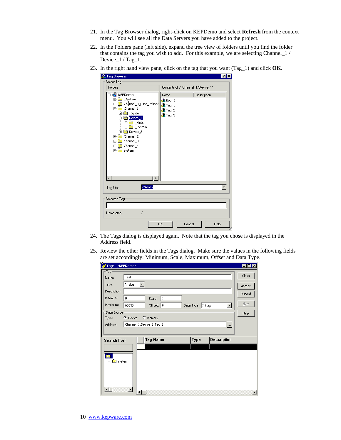- 21. In the Tag Browser dialog, right-click on KEPDemo and select **Refresh** from the context menu. You will see all the Data Servers you have added to the project.
- 22. In the Folders pane (left side), expand the tree view of folders until you find the folder that contains the tag you wish to add. For this example, we are selecting Channel\_1 / Device\_1 / Tag\_1.
- 23. In the right hand view pane, click on the tag that you want (Tag\_1) and click **OK**.

| <b>&amp; Tag Browser</b>                                                                                                                                                                                                                                              |                                                                               |                                     | 7x          |
|-----------------------------------------------------------------------------------------------------------------------------------------------------------------------------------------------------------------------------------------------------------------------|-------------------------------------------------------------------------------|-------------------------------------|-------------|
| Select Tag                                                                                                                                                                                                                                                            |                                                                               |                                     |             |
| Folders                                                                                                                                                                                                                                                               |                                                                               | Contents of '/::Channel_1/Device_1' |             |
| ⊟ o <mark>d</mark> KEPDemo<br>System<br>Ė<br>Channel_0_User_Defined<br>$\overline{+}$<br>Channel 1<br>Ė<br>System<br>田<br>Device_1<br>由 <b>Hints</b><br>System<br>田山<br>由 Device 2<br>Channel 2<br>$\overline{+}$<br>Channel_3<br>Ė<br>Channel_4<br>⊞<br>system<br>日圖 | Name<br>Bool_1<br><b>&amp;</b> Tag_1<br><b>P</b> ag_2<br><mark>‰</mark> Tag_3 |                                     | Description |
| <none><br/>Tag filter:</none>                                                                                                                                                                                                                                         |                                                                               |                                     |             |
| Selected Tag-                                                                                                                                                                                                                                                         |                                                                               |                                     |             |
| 7<br>Home area:                                                                                                                                                                                                                                                       |                                                                               |                                     |             |
|                                                                                                                                                                                                                                                                       | <b>OK</b>                                                                     | Cancel                              | Help        |

- 24. The Tags dialog is displayed again. Note that the tag you chose is displayed in the Address field.
- 25. Review the other fields in the Tags dialog. Make sure the values in the following fields are set accordingly: Minimum, Scale, Maximum, Offset and Data Type.

|                    | Tags - /KEPDemo/ |                          |  |                    |                      | $\Box$ o $\Box$ |
|--------------------|------------------|--------------------------|--|--------------------|----------------------|-----------------|
| Tag                |                  |                          |  |                    |                      | Close           |
| Name:              | Test             |                          |  |                    |                      |                 |
| Type:              | Analog           | ▼∣                       |  |                    |                      | Accept          |
| Description:       |                  |                          |  |                    |                      | Discard         |
| Minimum:           | o                | Scale: $1$               |  |                    |                      |                 |
| Maximum:           | 65535            | Offset: $\boxed{0}$      |  | Data Type: Integer | $\blacktriangledown$ | New             |
| Data Source        |                  |                          |  |                    |                      | Help            |
| Type:              | C Device         | C Memory                 |  |                    |                      |                 |
| Address:           |                  | Channel_1.Device_1.Tag_1 |  |                    | $\vert \cdots \vert$ |                 |
|                    |                  |                          |  |                    |                      |                 |
| <b>Search For:</b> |                  | <b>Tag Name</b>          |  | Type               | Description          |                 |
|                    |                  |                          |  |                    |                      |                 |
|                    |                  |                          |  |                    |                      |                 |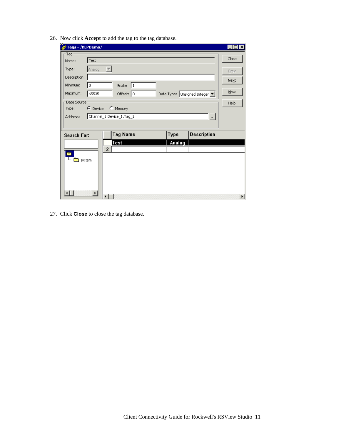| /Tags - /KEPDemo/  |                   |                          |                          |             |                               | $  \square   \square   \times  $ |
|--------------------|-------------------|--------------------------|--------------------------|-------------|-------------------------------|----------------------------------|
| Tag                |                   |                          |                          |             |                               |                                  |
| Name:              | Test              |                          |                          |             |                               | Close                            |
| Type:              | Analog            | $\overline{\phantom{a}}$ |                          |             |                               | Prev                             |
| Description:       |                   |                          |                          |             |                               | Next                             |
| Minimum:           | 0                 |                          | Scale: $1$               |             |                               |                                  |
| Maximum:           | 65535             |                          | Offset: 0                |             | Data Type: Unsigned Integer ▼ | <b>New</b>                       |
| Data Source        |                   |                          |                          |             |                               | <b>Help</b>                      |
| Type:              | C Device C Memory |                          |                          |             |                               |                                  |
| Address:           |                   |                          | Channel_1.Device_1.Tag_1 |             | $\cdots$                      |                                  |
|                    |                   |                          |                          |             |                               |                                  |
| <b>Search For:</b> |                   |                          | <b>Tag Name</b>          | <b>Type</b> | <b>Description</b>            |                                  |
|                    |                   |                          | <b>Test</b>              | Analog      |                               |                                  |
| È3                 |                   | $\overline{c}$           |                          |             |                               |                                  |
| ██ system          |                   |                          |                          |             |                               |                                  |
|                    |                   |                          |                          |             |                               |                                  |
|                    |                   |                          |                          |             |                               |                                  |
|                    |                   |                          |                          |             |                               |                                  |
|                    |                   |                          |                          |             |                               |                                  |
| ٠I                 | ۲I                | ⊣                        |                          |             |                               | $\blacktriangleright$            |

26. Now click **Accept** to add the tag to the tag database.

27. Click **Close** to close the tag database.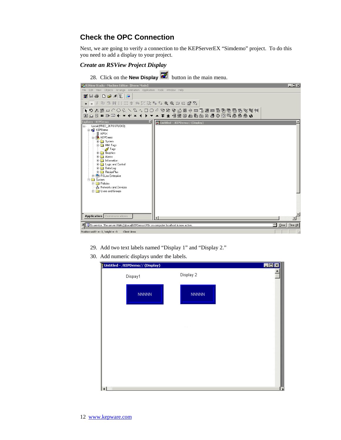### <span id="page-15-0"></span>**Check the OPC Connection**

Next, we are going to verify a connection to the KEPServerEX "Simdemo" project. To do this you need to add a display to your project.

#### *Create an RSView Project Display*

28. Click on the **New Display** button in the main menu.



- 29. Add two text labels named "Display 1" and "Display 2."
- 30. Add numeric displays under the labels.

| Untitled - /KEPDemo// (Display) |              | $\Box$ D $\times$ |
|---------------------------------|--------------|-------------------|
| Dispay1                         | Display 2    |                   |
| <b>NNNNN</b>                    | <b>NNNNN</b> |                   |
|                                 |              |                   |
|                                 |              |                   |
|                                 |              |                   |
|                                 |              |                   |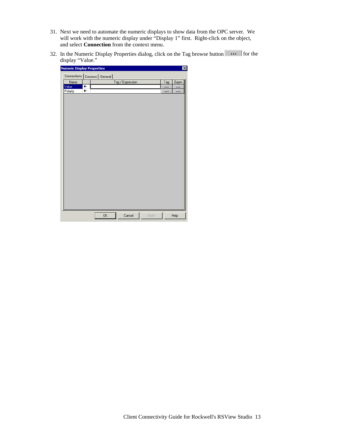- 31. Next we need to automate the numeric displays to show data from the OPC server. We will work with the numeric display under "Display 1" first. Right-click on the object, and select **Connection** from the context menu.
- 32. In the Numeric Display Properties dialog, click on the Tag browse button for the display "Value."

| <b>Numeric Display Properties</b> |                         |                                |                  |       |     | $\vert x \vert$ |
|-----------------------------------|-------------------------|--------------------------------|------------------|-------|-----|-----------------|
|                                   |                         | Connections   Common   General |                  |       |     |                 |
| Name                              |                         |                                | Tag / Expression |       | Tag | Expm            |
| Value                             | €                       |                                |                  |       |     | $\ddotsc$       |
| Polarity                          | $\overline{\mathbf{t}}$ |                                |                  |       |     | $\ddotsc$       |
|                                   |                         |                                |                  |       |     |                 |
|                                   |                         |                                |                  |       |     |                 |
|                                   |                         |                                |                  |       |     |                 |
|                                   |                         |                                |                  |       |     |                 |
|                                   |                         |                                |                  |       |     |                 |
|                                   |                         |                                |                  |       |     |                 |
|                                   |                         |                                |                  |       |     |                 |
|                                   |                         |                                |                  |       |     |                 |
|                                   |                         |                                |                  |       |     |                 |
|                                   |                         |                                |                  |       |     |                 |
|                                   |                         |                                |                  |       |     |                 |
|                                   |                         |                                |                  |       |     |                 |
|                                   |                         |                                |                  |       |     |                 |
|                                   |                         |                                |                  |       |     |                 |
|                                   |                         |                                |                  |       |     |                 |
|                                   |                         |                                |                  |       |     |                 |
|                                   |                         |                                |                  |       |     |                 |
|                                   |                         |                                |                  |       |     |                 |
|                                   |                         |                                |                  |       |     |                 |
|                                   |                         |                                |                  |       |     |                 |
|                                   |                         |                                |                  |       |     |                 |
|                                   |                         |                                |                  |       |     |                 |
|                                   |                         | 0K                             | Cancel           | Apply |     | Help            |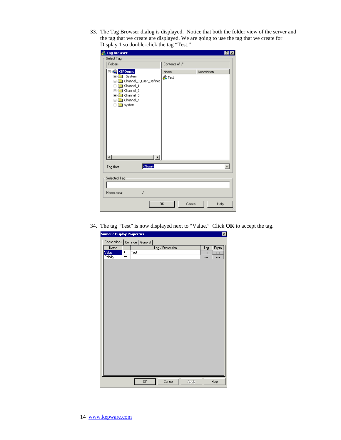33. The Tag Browser dialog is displayed. Notice that both the folder view of the server and the tag that we create are displayed. We are going to use the tag that we create for Display 1 so double-click the tag "Test."

| <b>&amp;</b> Tag Browser                                                                                                                                                                   |                           | $\times$    |  |  |  |
|--------------------------------------------------------------------------------------------------------------------------------------------------------------------------------------------|---------------------------|-------------|--|--|--|
| Select Tag-                                                                                                                                                                                |                           |             |  |  |  |
| Folders                                                                                                                                                                                    | Contents of '/'           |             |  |  |  |
| E <b>ngel KEPDemo</b><br>_System<br>$\overline{+}$<br>] Channel_0_Use <sup>l,</sup> _Defined<br>由<br>Channel_1<br>庙<br>Channel_2<br>匣<br>Channel_3<br>由<br>Channel_4<br>Ė-<br>system<br>Ė- | Name<br><b>&amp;</b> Test | Description |  |  |  |
| <none><br/>Tag filter:</none>                                                                                                                                                              |                           |             |  |  |  |
| Selected Tag<br>Ż<br>Home area:                                                                                                                                                            |                           |             |  |  |  |
|                                                                                                                                                                                            | 0K<br>Cancel              | Help        |  |  |  |

34. The tag "Test" is now displayed next to "Value." Click **OK** to accept the tag.

| <b>Numeric Display Properties</b> |      |                  |       |           | $\overline{\mathbf{x}}$ |
|-----------------------------------|------|------------------|-------|-----------|-------------------------|
| Connections   Common   General    |      |                  |       |           |                         |
| Name                              |      | Tag / Expression |       | $T_{ag}$  | Exprn                   |
| Value<br>$\leftarrow$             | Test |                  |       |           |                         |
| Polarity<br>$\overline{+}$        |      |                  |       | $\ddotsc$ | $\ddotsc$               |
|                                   |      |                  |       |           |                         |
|                                   |      |                  |       |           |                         |
|                                   |      |                  |       |           |                         |
|                                   |      |                  |       |           |                         |
|                                   |      |                  |       |           |                         |
|                                   |      |                  |       |           |                         |
|                                   |      |                  |       |           |                         |
|                                   |      |                  |       |           |                         |
|                                   |      |                  |       |           |                         |
|                                   |      |                  |       |           |                         |
|                                   |      |                  |       |           |                         |
|                                   |      |                  |       |           |                         |
|                                   |      |                  |       |           |                         |
|                                   |      |                  |       |           |                         |
|                                   |      |                  |       |           |                         |
|                                   |      |                  |       |           |                         |
|                                   |      |                  |       |           |                         |
|                                   |      |                  |       |           |                         |
|                                   |      |                  |       |           |                         |
|                                   |      |                  |       |           |                         |
|                                   |      |                  |       |           |                         |
|                                   |      |                  |       |           |                         |
|                                   |      |                  |       |           |                         |
|                                   | 0K   | Cancel           | Apply |           | Help                    |
|                                   |      |                  |       |           |                         |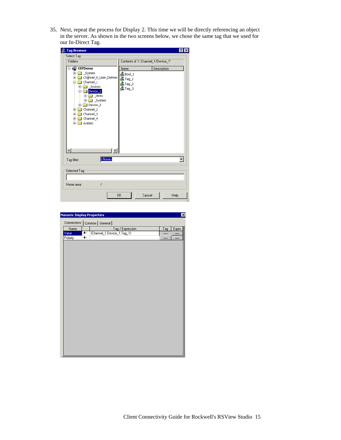35. Next, repeat the process for Display 2. This time we will be directly referencing an object in the server. As shown in the two screens below, we chose the same tag that we used for our In-Direct Tag.

| Select Tag-<br>Contents of '/::Channel_1/Device_1'<br>Folders<br>e KEPDemo<br>Description<br>Name<br>System<br>Ė<br>$\&$ Bool_1<br>Channel_0_User_Defined<br>$\overline{+}$<br><b>Stag_1</b><br>Channel_1<br>口<br>&Tag_2<br>System<br>中<br><mark>⊰</mark> Tag_3<br>Device_1<br>$\Box$<br>由 <b>Hints</b><br>System<br>F<br>Device <sub>2</sub><br>田…<br>Channel_2<br>ĖH<br>Channel_3<br>由<br>Channel_4<br>Ė.<br>$\blacksquare$ system<br>中 | <b>&amp; Tag Browser</b>    |  |  |
|-------------------------------------------------------------------------------------------------------------------------------------------------------------------------------------------------------------------------------------------------------------------------------------------------------------------------------------------------------------------------------------------------------------------------------------------|-----------------------------|--|--|
|                                                                                                                                                                                                                                                                                                                                                                                                                                           |                             |  |  |
|                                                                                                                                                                                                                                                                                                                                                                                                                                           |                             |  |  |
|                                                                                                                                                                                                                                                                                                                                                                                                                                           |                             |  |  |
|                                                                                                                                                                                                                                                                                                                                                                                                                                           |                             |  |  |
|                                                                                                                                                                                                                                                                                                                                                                                                                                           | <none></none>               |  |  |
|                                                                                                                                                                                                                                                                                                                                                                                                                                           | Tag filter:<br>Selected Tag |  |  |
| Z                                                                                                                                                                                                                                                                                                                                                                                                                                         | Home area:                  |  |  |

| <b>Numeric Display Properties</b><br>$\overline{\mathbf{x}}$ |                            |           |           |  |  |
|--------------------------------------------------------------|----------------------------|-----------|-----------|--|--|
| Connections   Common   General                               |                            |           |           |  |  |
| Name                                                         | Tag / Expression           | Tag       | Expm      |  |  |
| $\overline{\mathbf{t}}$<br>Value                             | {Channel_1.Device_1.Tag_1} | $\ddotsc$ | $\cdots$  |  |  |
| $\overline{\phantom{0}}$<br>Polarity                         |                            | $\ddotsc$ | $\ddotsc$ |  |  |
|                                                              |                            |           |           |  |  |
|                                                              |                            |           |           |  |  |
|                                                              |                            |           |           |  |  |
|                                                              |                            |           |           |  |  |
|                                                              |                            |           |           |  |  |
|                                                              |                            |           |           |  |  |
|                                                              |                            |           |           |  |  |
|                                                              |                            |           |           |  |  |
|                                                              |                            |           |           |  |  |
|                                                              |                            |           |           |  |  |
|                                                              |                            |           |           |  |  |
|                                                              |                            |           |           |  |  |
|                                                              |                            |           |           |  |  |
|                                                              |                            |           |           |  |  |
|                                                              |                            |           |           |  |  |
|                                                              |                            |           |           |  |  |
|                                                              |                            |           |           |  |  |
|                                                              |                            |           |           |  |  |
|                                                              |                            |           |           |  |  |
|                                                              |                            |           |           |  |  |
|                                                              |                            |           |           |  |  |
|                                                              |                            |           |           |  |  |
|                                                              |                            |           |           |  |  |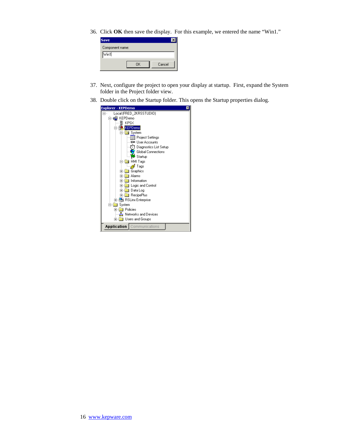36. Click **OK** then save the display. For this example, we entered the name "Win1."

| <b>Save</b>          |    |        |
|----------------------|----|--------|
| Component name:      |    |        |
| $\sqrt{\text{wind}}$ |    |        |
|                      | OK | Cancel |

- 37. Next, configure the project to open your display at startup. First, expand the System folder in the Project folder view.
- 38. Double click on the Startup folder. This opens the Startup properties dialog.

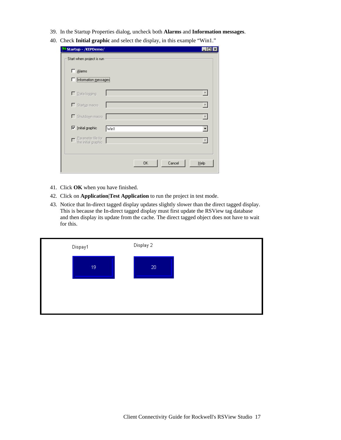- 39. In the Startup Properties dialog, uncheck both **Alarms** and **Information messages**.
- 40. Check **Initial graphic** and select the display, in this example "Win1."

| <b>15 Startup - /KEPDemo/</b>             |    |        |      |
|-------------------------------------------|----|--------|------|
| Start when project is run                 |    |        |      |
| $\Box$ Alarms                             |    |        |      |
| Information messages                      |    |        |      |
| □ Data logging                            |    |        |      |
| Startup macro                             |    |        |      |
| Shutdown macro                            |    |        |      |
| $\nabla$ Initial graphic<br>Win1          |    |        |      |
| Parameter file for<br>the initial graphic |    |        |      |
|                                           |    |        |      |
|                                           | 0K | Cancel | Help |
|                                           |    |        |      |

- 41. Click **OK** when you have finished.
- 42. Click on **Application**|**Test Application** to run the project in test mode.
- 43. Notice that In-direct tagged display updates slightly slower than the direct tagged display. This is because the In-direct tagged display must first update the RSView tag database and then display its update from the cache. The direct tagged object does not have to wait for this.